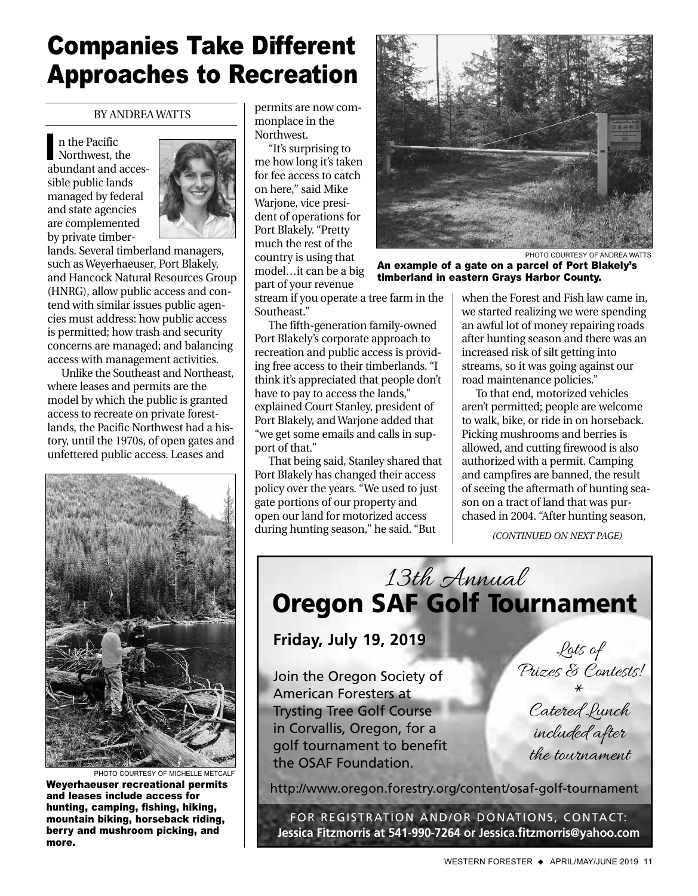## Companies Take Different Approaches to Recreation

BY ANDREA WATTS

n the Pacific Northwest, the abundant and accessible public lands managed by federal and state agencies are complemented by private timber-I



lands. Several timberland managers, such as Weyerhaeuser, Port Blakely, and Hancock Natural Resources Group (HNRG), allow public access and contend with similar issues public agencies must address: how public access is permitted; how trash and security concerns are managed; and balancing access with management activities.

Unlike the Southeast and Northeast, where leases and permits are the model by which the public is granted access to recreate on private forestlands, the Pacific Northwest had a history, until the 1970s, of open gates and unfettered public access. Leases and



PHOTO COURTESY OF MICHELLE METCALF Weyerhaeuser recreational permits and leases include access for hunting, camping, fishing, hiking, mountain biking, horseback riding, berry and mushroom picking, and more.

permits are now commonplace in the Northwest.

"It's surprising to me how long it's taken for fee access to catch on here," said Mike Warjone, vice president of operations for Port Blakely. "Pretty much the rest of the country is using that model…it can be a big part of your revenue



PHOTO COURTESY OF ANDREA WATTS

An example of a gate on a parcel of Port Blakely's timberland in eastern Grays Harbor County.

stream if you operate a tree farm in the Southeast."

The fifth-generation family-owned Port Blakely's corporate approach to recreation and public access is providing free access to their timberlands. "I think it's appreciated that people don't have to pay to access the lands," explained Court Stanley, president of Port Blakely, and Warjone added that "we get some emails and calls in support of that."

That being said, Stanley shared that Port Blakely has changed their access policy over the years. "We used to just gate portions of our property and open our land for motorized access during hunting season," he said. "But

when the Forest and Fish law came in, we started realizing we were spending an awful lot of money repairing roads after hunting season and there was an increased risk of silt getting into streams, so it was going against our road maintenance policies."

To that end, motorized vehicles aren't permitted; people are welcome to walk, bike, or ride in on horseback. Picking mushrooms and berries is allowed, and cutting firewood is also authorized with a permit. Camping and campfires are banned, the result of seeing the aftermath of hunting season on a tract of land that was purchased in 2004. "After hunting season,

*(CONTINUED ON NEXT PAGE)*

13th Annual **Oregon SAF Golf Tournament**

**Friday, July 19, 2019**

Join the Oregon Society of American Foresters at Trysting Tree Golf Course in Corvallis, Oregon, for a golf tournament to benefit the OSAF Foundation.

Lots of Prizes & Contests!

\* Catered Lunch included after the tournament

<http://www.oregon.forestry.org/content/osaf-golf-tournament>

FOR REGISTRATION AND/OR DONATIONS, CONTACT: **Jessica Fitzmorris at 541-990-7264 or Jessica.fitzmorris@yahoo.com**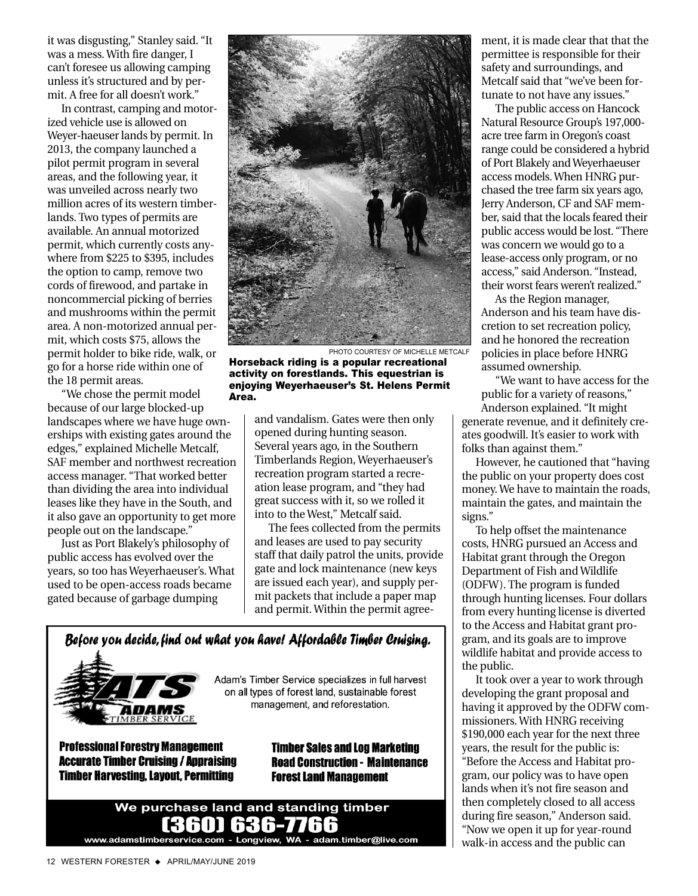it was disgusting," Stanley said. "It was a mess. With fire danger, I can't foresee us allowing camping unless it's structured and by permit. A free for all doesn't work."

In contrast, camping and motorized vehicle use is allowed on Weyer-haeuser lands by permit. In 2013, the company launched a pilot permit program in several areas, and the following year, it was unveiled across nearly two million acres of its western timberlands. Two types of permits are available. An annual motorized permit, which currently costs anywhere from \$225 to \$395, includes the option to camp, remove two cords of firewood, and partake in noncommercial picking of berries and mushrooms within the permit area. A non-motorized annual permit, which costs \$75, allows the permit holder to bike ride, walk, or go for a horse ride within one of the 18 permit areas.

"We chose the permit model because of our large blocked-up landscapes where we have huge ownerships with existing gates around the edges," explained Michelle Metcalf, SAF member and northwest recreation access manager. "That worked better than dividing the area into individual leases like they have in the South, and it also gave an opportunity to get more people out on the landscape."

Just as Port Blakely's philosophy of public access has evolved over the years, so too has Weyerhaeuser's. What used to be open-access roads became gated because of garbage dumping



Horseback riding is a popular recreational activity on forestlands. This equestrian is enjoying Weyerhaeuser's St. Helens Permit Area.

> and vandalism. Gates were then only opened during hunting season. Several years ago, in the Southern Timberlands Region, Weyerhaeuser's recreation program started a recreation lease program, and "they had great success with it, so we rolled it into to the West," Metcalf said.

The fees collected from the permits and leases are used to pay security staff that daily patrol the units, provide gate and lock maintenance (new keys are issued each year), and supply permit packets that include a paper map and permit. Within the permit agree-



**Accurate Timber Cruising / Appraising Timber Harvesting, Lavout, Permitting** 

**Timber Sales and Log Marketing Road Construction - Maintenance Forest Land Management** 



ment, it is made clear that that the permittee is responsible for their safety and surroundings, and Metcalf said that "we've been fortunate to not have any issues."

The public access on Hancock Natural Resource Group's 197,000 acre tree farm in Oregon's coast range could be considered a hybrid of Port Blakely and Weyerhaeuser access models. When HNRG purchased the tree farm six years ago, Jerry Anderson, CF and SAF member, said that the locals feared their public access would be lost. "There was concern we would go to a lease-access only program, or no access," said Anderson. "Instead, their worst fears weren't realized."

As the Region manager, Anderson and his team have discretion to set recreation policy, and he honored the recreation policies in place before HNRG assumed ownership.

"We want to have access for the public for a variety of reasons," Anderson explained. "It might generate revenue, and it definitely creates goodwill. It's easier to work with folks than against them."

However, he cautioned that "having the public on your property does cost money. We have to maintain the roads, maintain the gates, and maintain the signs."

To help offset the maintenance costs, HNRG pursued an Access and Habitat grant through the Oregon Department of Fish and Wildlife (ODFW). The program is funded through hunting licenses. Four dollars from every hunting license is diverted to the Access and Habitat grant program, and its goals are to improve wildlife habitat and provide access to the public.

It took over a year to work through developing the grant proposal and having it approved by the ODFW commissioners. With HNRG receiving \$190,000 each year for the next three years, the result for the public is: "Before the Access and Habitat program, our policy was to have open lands when it's not fire season and then completely closed to all access during fire season," Anderson said. "Now we open it up for year-round walk-in access and the public can